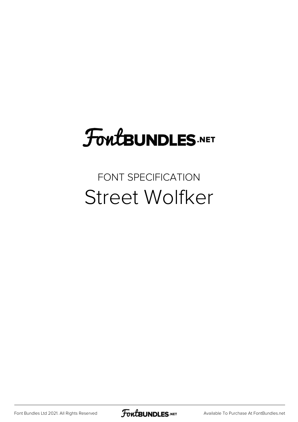## **FoutBUNDLES.NET**

#### FONT SPECIFICATION Street Wolfker

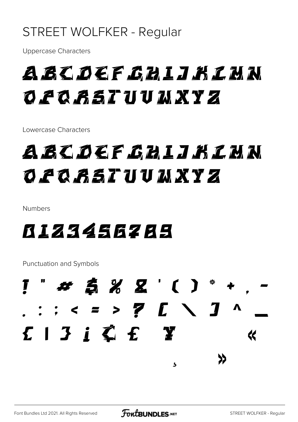#### STREET WOLFKER - Regular

**Uppercase Characters** 

#### A BC DEF GH L J K L M N O PQ RST UU MXYZ

Lowercase Characters

#### A BC OCF GH L J K L M N O PQ RST UU MXYZ

Numbers

#### **B123456289**

**Punctuation and Symbols** 

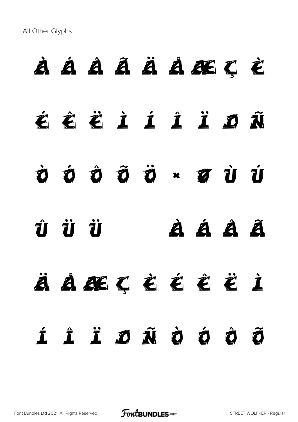All Other Glyphs

# À Á Â Ã Ä Å Æ Ç È

- É Ê Ë Ì Í Î Ï Ð Ñ
- Ò Ó Ô Õ Ö × Ø Ù Ú
- Û Ü Ý à á â ã
- ä å æ ç è é ê ë ì í î ï ð ñ ò ó ô õ